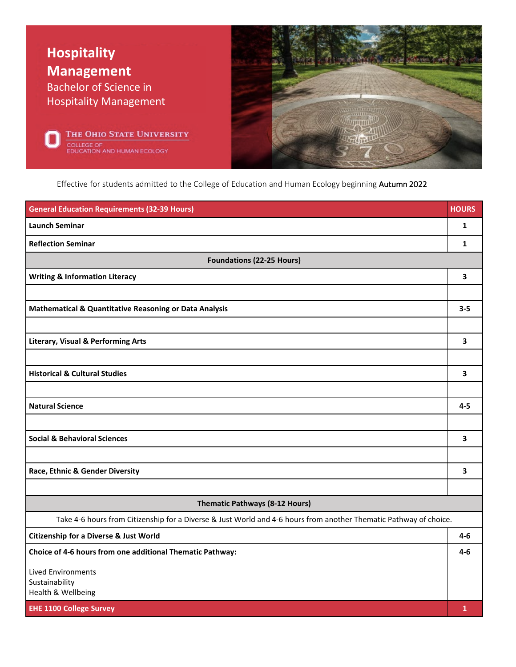

Effective for students admitted to the College of Education and Human Ecology beginning Autumn 2022

| <b>General Education Requirements (32-39 Hours)</b>                                                               | <b>HOURS</b> |
|-------------------------------------------------------------------------------------------------------------------|--------------|
| <b>Launch Seminar</b>                                                                                             | $\mathbf{1}$ |
| <b>Reflection Seminar</b>                                                                                         | $\mathbf{1}$ |
| <b>Foundations (22-25 Hours)</b>                                                                                  |              |
| <b>Writing &amp; Information Literacy</b>                                                                         | 3            |
|                                                                                                                   |              |
| <b>Mathematical &amp; Quantitative Reasoning or Data Analysis</b>                                                 | $3 - 5$      |
|                                                                                                                   |              |
| <b>Literary, Visual &amp; Performing Arts</b>                                                                     | 3            |
|                                                                                                                   |              |
| <b>Historical &amp; Cultural Studies</b>                                                                          | 3            |
|                                                                                                                   |              |
| <b>Natural Science</b>                                                                                            | $4 - 5$      |
|                                                                                                                   |              |
| <b>Social &amp; Behavioral Sciences</b>                                                                           | 3            |
|                                                                                                                   |              |
| Race, Ethnic & Gender Diversity                                                                                   | 3            |
|                                                                                                                   |              |
| Thematic Pathways (8-12 Hours)                                                                                    |              |
| Take 4-6 hours from Citizenship for a Diverse & Just World and 4-6 hours from another Thematic Pathway of choice. |              |
| <b>Citizenship for a Diverse &amp; Just World</b>                                                                 | 4-6          |
| Choice of 4-6 hours from one additional Thematic Pathway:                                                         | 4-6          |
| <b>Lived Environments</b>                                                                                         |              |
| Sustainability<br>Health & Wellbeing                                                                              |              |
| <b>EHE 1100 College Survey</b>                                                                                    | $\mathbf{1}$ |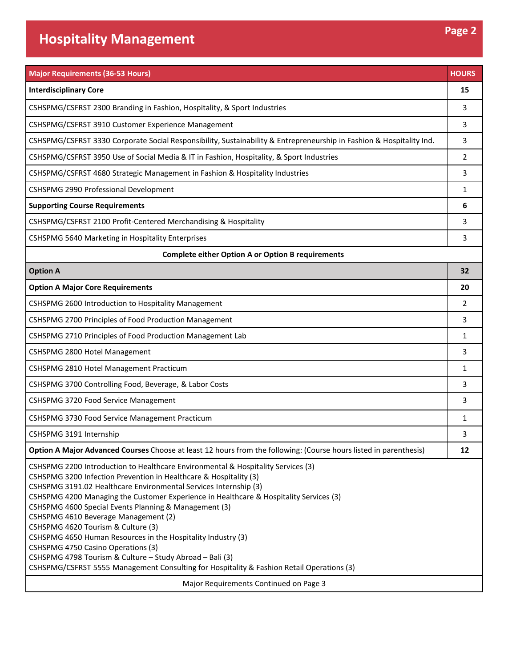| <b>Interdisciplinary Core</b>                                                                                                                                                                                                                                                                                                                                                                                                                                                                                                                                                                                                                                                                                                                                       | 15           |
|---------------------------------------------------------------------------------------------------------------------------------------------------------------------------------------------------------------------------------------------------------------------------------------------------------------------------------------------------------------------------------------------------------------------------------------------------------------------------------------------------------------------------------------------------------------------------------------------------------------------------------------------------------------------------------------------------------------------------------------------------------------------|--------------|
|                                                                                                                                                                                                                                                                                                                                                                                                                                                                                                                                                                                                                                                                                                                                                                     |              |
| CSHSPMG/CSFRST 2300 Branding in Fashion, Hospitality, & Sport Industries                                                                                                                                                                                                                                                                                                                                                                                                                                                                                                                                                                                                                                                                                            | 3            |
| CSHSPMG/CSFRST 3910 Customer Experience Management                                                                                                                                                                                                                                                                                                                                                                                                                                                                                                                                                                                                                                                                                                                  | 3            |
| CSHSPMG/CSFRST 3330 Corporate Social Responsibility, Sustainability & Entrepreneurship in Fashion & Hospitality Ind.                                                                                                                                                                                                                                                                                                                                                                                                                                                                                                                                                                                                                                                | 3            |
| CSHSPMG/CSFRST 3950 Use of Social Media & IT in Fashion, Hospitality, & Sport Industries                                                                                                                                                                                                                                                                                                                                                                                                                                                                                                                                                                                                                                                                            | 2            |
| CSHSPMG/CSFRST 4680 Strategic Management in Fashion & Hospitality Industries                                                                                                                                                                                                                                                                                                                                                                                                                                                                                                                                                                                                                                                                                        | 3            |
| CSHSPMG 2990 Professional Development                                                                                                                                                                                                                                                                                                                                                                                                                                                                                                                                                                                                                                                                                                                               | $\mathbf{1}$ |
| <b>Supporting Course Requirements</b>                                                                                                                                                                                                                                                                                                                                                                                                                                                                                                                                                                                                                                                                                                                               | 6            |
| CSHSPMG/CSFRST 2100 Profit-Centered Merchandising & Hospitality                                                                                                                                                                                                                                                                                                                                                                                                                                                                                                                                                                                                                                                                                                     | 3            |
| CSHSPMG 5640 Marketing in Hospitality Enterprises                                                                                                                                                                                                                                                                                                                                                                                                                                                                                                                                                                                                                                                                                                                   | 3            |
| <b>Complete either Option A or Option B requirements</b>                                                                                                                                                                                                                                                                                                                                                                                                                                                                                                                                                                                                                                                                                                            |              |
| <b>Option A</b>                                                                                                                                                                                                                                                                                                                                                                                                                                                                                                                                                                                                                                                                                                                                                     | 32           |
| <b>Option A Major Core Requirements</b>                                                                                                                                                                                                                                                                                                                                                                                                                                                                                                                                                                                                                                                                                                                             | 20           |
| CSHSPMG 2600 Introduction to Hospitality Management                                                                                                                                                                                                                                                                                                                                                                                                                                                                                                                                                                                                                                                                                                                 | 2            |
| CSHSPMG 2700 Principles of Food Production Management                                                                                                                                                                                                                                                                                                                                                                                                                                                                                                                                                                                                                                                                                                               | 3            |
| CSHSPMG 2710 Principles of Food Production Management Lab                                                                                                                                                                                                                                                                                                                                                                                                                                                                                                                                                                                                                                                                                                           | 1            |
| CSHSPMG 2800 Hotel Management                                                                                                                                                                                                                                                                                                                                                                                                                                                                                                                                                                                                                                                                                                                                       | 3            |
| CSHSPMG 2810 Hotel Management Practicum                                                                                                                                                                                                                                                                                                                                                                                                                                                                                                                                                                                                                                                                                                                             | 1            |
| CSHSPMG 3700 Controlling Food, Beverage, & Labor Costs                                                                                                                                                                                                                                                                                                                                                                                                                                                                                                                                                                                                                                                                                                              | 3            |
| CSHSPMG 3720 Food Service Management                                                                                                                                                                                                                                                                                                                                                                                                                                                                                                                                                                                                                                                                                                                                | 3            |
| CSHSPMG 3730 Food Service Management Practicum                                                                                                                                                                                                                                                                                                                                                                                                                                                                                                                                                                                                                                                                                                                      | 1            |
| CSHSPMG 3191 Internship                                                                                                                                                                                                                                                                                                                                                                                                                                                                                                                                                                                                                                                                                                                                             | 3            |
| Option A Major Advanced Courses Choose at least 12 hours from the following: (Course hours listed in parenthesis)                                                                                                                                                                                                                                                                                                                                                                                                                                                                                                                                                                                                                                                   | 12           |
| CSHSPMG 2200 Introduction to Healthcare Environmental & Hospitality Services (3)<br>CSHSPMG 3200 Infection Prevention in Healthcare & Hospitality (3)<br>CSHSPMG 3191.02 Healthcare Environmental Services Internship (3)<br>CSHSPMG 4200 Managing the Customer Experience in Healthcare & Hospitality Services (3)<br>CSHSPMG 4600 Special Events Planning & Management (3)<br>CSHSPMG 4610 Beverage Management (2)<br>CSHSPMG 4620 Tourism & Culture (3)<br>CSHSPMG 4650 Human Resources in the Hospitality Industry (3)<br>CSHSPMG 4750 Casino Operations (3)<br>CSHSPMG 4798 Tourism & Culture - Study Abroad - Bali (3)<br>CSHSPMG/CSFRST 5555 Management Consulting for Hospitality & Fashion Retail Operations (3)<br>Major Requirements Continued on Page 3 |              |